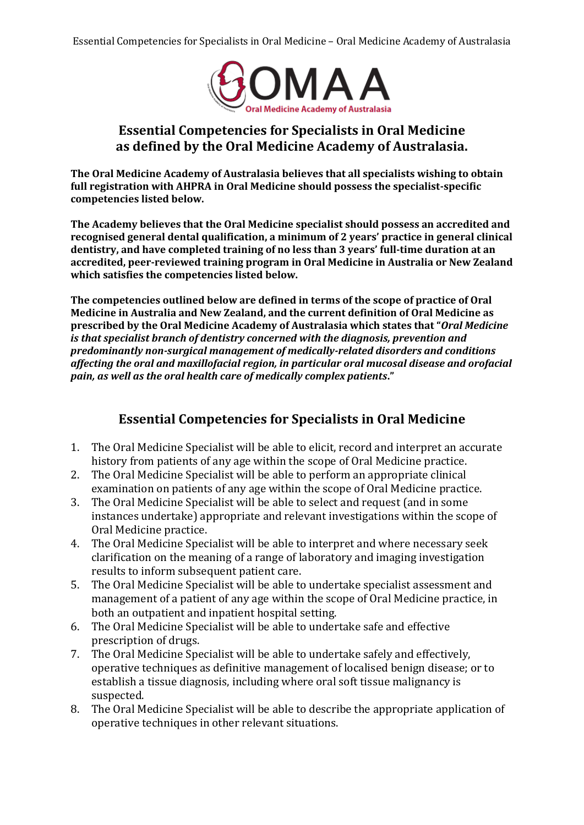

## **Essential Competencies for Specialists in Oral Medicine as defined by the Oral Medicine Academy of Australasia.**

**The Oral Medicine Academy of Australasia believes that all specialists wishing to obtain full registration with AHPRA in Oral Medicine should possess the specialist-specific competencies listed below.** 

**The Academy believes that the Oral Medicine specialist should possess an accredited and recognised general dental qualification, a minimum of 2 years' practice in general clinical dentistry, and have completed training of no less than 3 years' full-time duration at an accredited, peer-reviewed training program in Oral Medicine in Australia or New Zealand which satisfies the competencies listed below.** 

**The competencies outlined below are defined in terms of the scope of practice of Oral Medicine in Australia and New Zealand, and the current definition of Oral Medicine as prescribed by the Oral Medicine Academy of Australasia which states that "***Oral Medicine is that specialist branch of dentistry concerned with the diagnosis, prevention and predominantly non-surgical management of medically-related disorders and conditions affecting the oral and maxillofacial region, in particular oral mucosal disease and orofacial pain, as well as the oral health care of medically complex patients***."** 

## **Essential Competencies for Specialists in Oral Medicine**

- 1. The Oral Medicine Specialist will be able to elicit, record and interpret an accurate history from patients of any age within the scope of Oral Medicine practice.
- 2. The Oral Medicine Specialist will be able to perform an appropriate clinical examination on patients of any age within the scope of Oral Medicine practice.
- 3. The Oral Medicine Specialist will be able to select and request (and in some instances undertake) appropriate and relevant investigations within the scope of Oral Medicine practice.
- 4. The Oral Medicine Specialist will be able to interpret and where necessary seek clarification on the meaning of a range of laboratory and imaging investigation results to inform subsequent patient care.
- 5. The Oral Medicine Specialist will be able to undertake specialist assessment and management of a patient of any age within the scope of Oral Medicine practice, in both an outpatient and inpatient hospital setting.
- 6. The Oral Medicine Specialist will be able to undertake safe and effective prescription of drugs.
- 7. The Oral Medicine Specialist will be able to undertake safely and effectively, operative techniques as definitive management of localised benign disease; or to establish a tissue diagnosis, including where oral soft tissue malignancy is suspected.
- 8. The Oral Medicine Specialist will be able to describe the appropriate application of operative techniques in other relevant situations.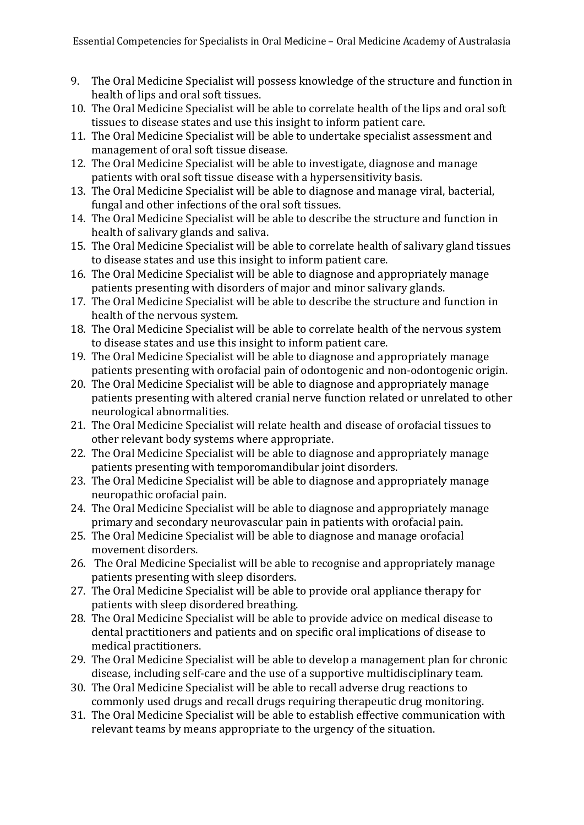- 9. The Oral Medicine Specialist will possess knowledge of the structure and function in health of lips and oral soft tissues.
- 10. The Oral Medicine Specialist will be able to correlate health of the lips and oral soft tissues to disease states and use this insight to inform patient care.
- 11. The Oral Medicine Specialist will be able to undertake specialist assessment and management of oral soft tissue disease.
- 12. The Oral Medicine Specialist will be able to investigate, diagnose and manage patients with oral soft tissue disease with a hypersensitivity basis.
- 13. The Oral Medicine Specialist will be able to diagnose and manage viral, bacterial, fungal and other infections of the oral soft tissues.
- 14. The Oral Medicine Specialist will be able to describe the structure and function in health of salivary glands and saliva.
- 15. The Oral Medicine Specialist will be able to correlate health of salivary gland tissues to disease states and use this insight to inform patient care.
- 16. The Oral Medicine Specialist will be able to diagnose and appropriately manage patients presenting with disorders of major and minor salivary glands.
- 17. The Oral Medicine Specialist will be able to describe the structure and function in health of the nervous system.
- 18. The Oral Medicine Specialist will be able to correlate health of the nervous system to disease states and use this insight to inform patient care.
- 19. The Oral Medicine Specialist will be able to diagnose and appropriately manage patients presenting with orofacial pain of odontogenic and non-odontogenic origin.
- 20. The Oral Medicine Specialist will be able to diagnose and appropriately manage patients presenting with altered cranial nerve function related or unrelated to other neurological abnormalities.
- 21. The Oral Medicine Specialist will relate health and disease of orofacial tissues to other relevant body systems where appropriate.
- 22. The Oral Medicine Specialist will be able to diagnose and appropriately manage patients presenting with temporomandibular joint disorders.
- 23. The Oral Medicine Specialist will be able to diagnose and appropriately manage neuropathic orofacial pain.
- 24. The Oral Medicine Specialist will be able to diagnose and appropriately manage primary and secondary neurovascular pain in patients with orofacial pain.
- 25. The Oral Medicine Specialist will be able to diagnose and manage orofacial movement disorders.
- 26. The Oral Medicine Specialist will be able to recognise and appropriately manage patients presenting with sleep disorders.
- 27. The Oral Medicine Specialist will be able to provide oral appliance therapy for patients with sleep disordered breathing.
- 28. The Oral Medicine Specialist will be able to provide advice on medical disease to dental practitioners and patients and on specific oral implications of disease to medical practitioners.
- 29. The Oral Medicine Specialist will be able to develop a management plan for chronic disease, including self-care and the use of a supportive multidisciplinary team.
- 30. The Oral Medicine Specialist will be able to recall adverse drug reactions to commonly used drugs and recall drugs requiring therapeutic drug monitoring.
- 31. The Oral Medicine Specialist will be able to establish effective communication with relevant teams by means appropriate to the urgency of the situation.